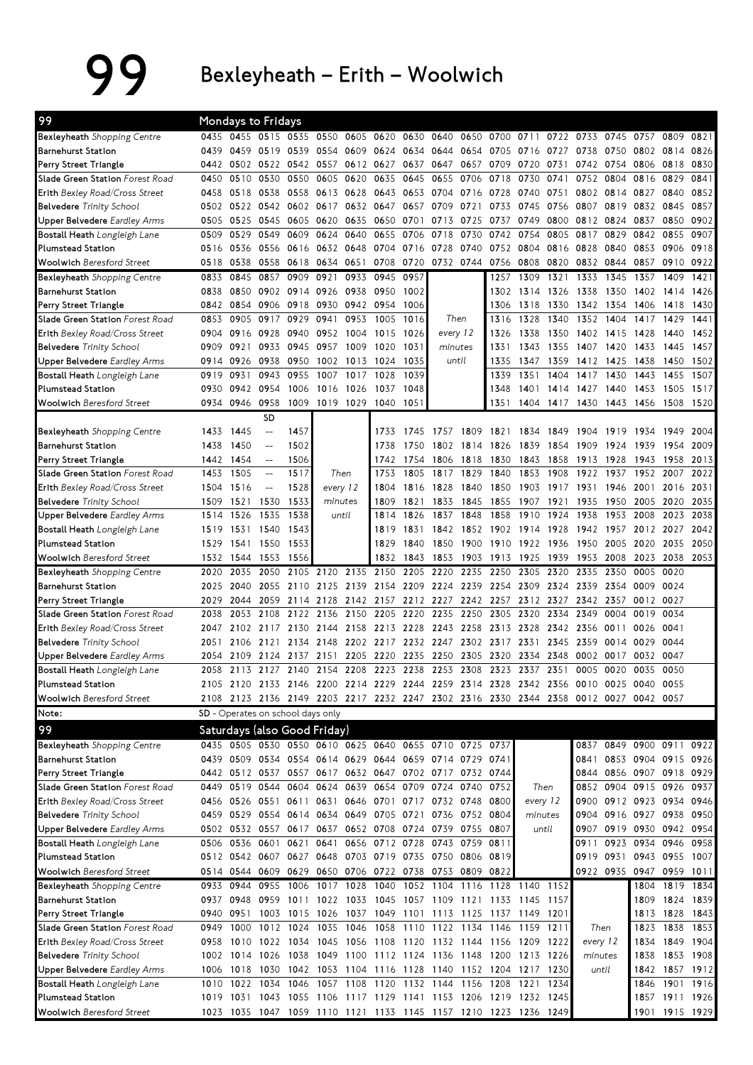99 Bexleyheath – Erith – Woolwich

| 99                                                       |              | <b>Mondays to Fridays</b> |                                                                                      |                     |           |                               |                |              |                                                        |                |                        |                     |              |                |                          |              |                        |              |
|----------------------------------------------------------|--------------|---------------------------|--------------------------------------------------------------------------------------|---------------------|-----------|-------------------------------|----------------|--------------|--------------------------------------------------------|----------------|------------------------|---------------------|--------------|----------------|--------------------------|--------------|------------------------|--------------|
| Bexleyheath Shopping Centre                              |              |                           | 0435 0455 0515 0535                                                                  |                     |           | 0550 0605 0620                |                |              | 0630 0640                                              | 0650 0700 0711 |                        |                     | 0722 0733    |                | 0745                     | 0757         | 0809                   | 0821         |
| <b>Barnehurst Station</b>                                | 0439         | 0459                      | 0519                                                                                 | 0539                |           | 0554 0609 0624 0634 0644      |                |              |                                                        |                | 0654 0705 0716         |                     | 0727         | 0738           | 0750                     | 0802 0814    |                        | 0826         |
| Perry Street Triangle                                    |              |                           | 0442 0502 0522 0542 0557                                                             |                     |           | 0612 0627                     |                | 0637         | 0647                                                   | 0657 0709      |                        | 0720                | 0731         | 0742 0754      |                          | 0806 0818    |                        | 0830         |
| Slade Green Station Forest Road                          | 0450         | 0510                      | 0530                                                                                 | 0550                | 0605      | 0620                          | 0635           | 0645         | 0655                                                   | 0706 0718      |                        | 0730                | 0741         | 0752           | 0804                     | 0816         | 0829                   | 0841         |
| Erith Bexley Road/Cross Street                           | 0458         | 0518                      | 0538                                                                                 | 0558                |           | 0613 0628                     | 0643           | 0653 0704    |                                                        | 0716 0728      |                        | 0740                | 0751         |                | 0802 0814                | 0827         | 0840                   | 0852         |
| <b>Belvedere</b> Trinity School                          | 0502         |                           | 0522 0542                                                                            | 0602                | 0617      | 0632                          | 0647           | 0657 0709    |                                                        | 0721           | 0733                   | 0745                | 0756         | 0807           | 0819                     | 0832         | 0845                   | 0857         |
| <b>Upper Belvedere</b> Eardley Arms                      | 0505         | 0525 0545                 |                                                                                      | 0605                | 0620 0635 |                               | 0650 0701 0713 |              |                                                        | 0725           | 0737                   | 0749                |              | 0800 0812 0824 |                          | 0837         | 0850                   | 0902         |
| Bostall Heath Longleigh Lane                             | 0509         | 0529                      | 0549                                                                                 | 0609                | 0624      | 0640                          | 0655           | 0706         | 0718                                                   | 0730           | 0742                   | 0754                | 0805         | 0817           | 0829                     | 0842         | 0855                   | 0907         |
| <b>Plumstead Station</b>                                 | 0516         | 0536                      | 0556                                                                                 | 0616                | 0632      | 0648                          | 0704           | 0716 0728    |                                                        | 0740           | 0752                   | 0804                | 0816         | 0828           | 0840                     | 0853         | 0906                   | 0918         |
| <b>Woolwich Beresford Street</b>                         | 0518         | 0538                      | 0558                                                                                 | 0618                |           | 0634 0651                     | 0708           |              | 0720 0732 0744 0756 0808                               |                |                        |                     | 0820         | 0832           | 0844                     | 0857         | 0910                   | 0922         |
| Bexleyheath Shopping Centre                              | 0833         | 0845                      | 0857                                                                                 | 0909                | 0921      | 0933                          | 0945           | 0957         |                                                        |                | 1257                   | 1309                | 1321         | 1333           | 1345                     | 1357         | 1409                   | 1421         |
| <b>Barnehurst Station</b>                                | 0838         | 0850                      |                                                                                      | 0902 0914 0926 0938 |           |                               | 0950           | 1002         |                                                        |                | 1302                   | 1314                | 1326         | 1338           | 1350                     | 1402 1414    |                        | 1426         |
| Perry Street Triangle                                    | 0842         | 0854                      | 0906                                                                                 | 0918 0930 0942 0954 |           |                               |                | 1006         |                                                        |                | 1306                   | 1318                | 1330         | 1342           | 1354                     | 1406         | 1418                   | 1430         |
| Slade Green Station Forest Road                          | 0853         | 0905                      | 0917                                                                                 | 0929                | 0941      | 0953                          | 1005           | 1016         | Then                                                   |                | 1316                   | 1328                | 1340         | 1352           | 1404                     | 1417         | 1429                   | 1441         |
| Erith Bexley Road/Cross Street                           | 0904         | 0916                      | 0928                                                                                 | 0940                |           | 0952 1004                     | 1015           | 1026         | every 12                                               |                | 1326                   | 1338                |              | 1350 1402 1415 |                          | 1428         | 1440                   | 1452         |
| <b>Belvedere</b> Trinity School                          | 0909         | 0921                      | 0933                                                                                 | 0945                | 0957      | 1009                          | 1020           | 1031         | minutes                                                |                | 1331                   | 1343                | 1355         | 1407           | 1420                     | 1433         | 1445                   | 1457         |
| <b>Upper Belvedere</b> Eardley Arms                      | 0914         | 0926                      | 0938                                                                                 | 0950                |           | 1002 1013                     | 1024           | 1035         | until                                                  |                | 1335                   | 1347                | 1359         |                | 1412 1425                | 1438         | 1450                   | 1502         |
| Bostall Heath Longleigh Lane                             | 0919         | 0931                      | 0943                                                                                 | 0955                | 1007      | 1017                          | 1028           | 1039         |                                                        |                | 1339                   | 1351                | 1404         | 1417           | 1430                     | 1443         | 1455                   | 1507         |
| <b>Plumstead Station</b>                                 | 0930         | 0942                      | 0954                                                                                 | 1006                | 1016      | 1026                          | 1037           | 1048         |                                                        |                | 1348                   | 1401                | 1414         | 1427           | 1440                     | 1453         | 1505                   | 1517         |
| <b>Woolwich Beresford Street</b>                         | 0934         | 0946                      | 0958                                                                                 | 1009                |           | 1019 1029                     | 1040           | 1051         |                                                        |                | 1351                   | 1404                | 1417         | 1430           | 1443 1456                |              | 1508                   | 1520         |
|                                                          |              |                           | <b>SD</b>                                                                            |                     |           |                               |                |              |                                                        |                |                        |                     |              |                |                          |              |                        |              |
| <b>Bexleyheath</b> Shopping Centre                       | 1433         | 1445                      | $-\!$                                                                                | 1457                |           |                               | 1733           | 1745         | 1757                                                   | 1809           | 1821                   | 1834                | 1849         | 1904           | 1919                     | 1934         | 1949                   | 2004         |
| <b>Barnehurst Station</b>                                | 1438         | 1450                      | $-$                                                                                  | 1502                |           |                               | 1738           | 1750         | 1802                                                   | 1814           | 1826                   | 1839                | 1854         | 1909           | 1924                     | 1939         | 1954                   | 2009         |
| Perry Street Triangle                                    | 1442         | 1454                      | $-\!$                                                                                | 1506                |           |                               | 1742           | 1754         | 1806                                                   | 1818           | 1830                   | 1843                | 1858         | 1913           | 1928                     | 1943         | 1958                   | 2013         |
| Slade Green Station Forest Road                          | 1453         | 1505                      | $-\!$                                                                                | 1517                |           | Then                          | 1753           | 1805         | 1817                                                   | 1829           | 1840                   | 1853                | 1908         | 1922           | 1937                     | 1952 2007    |                        | 2022         |
| <b>Erith Bexley Road/Cross Street</b>                    |              | 1504 1516                 | $\overline{\phantom{a}}$                                                             | 1528                |           | every 12                      | 1804           | 1816         | 1828                                                   | 1840           | 1850                   | 1903                | 1917         | 1931           | 1946                     | 2001         | 2016                   | 2031         |
| <b>Belvedere</b> Trinity School                          | 1509         | 1521                      | 1530                                                                                 | 1533                |           | minutes<br>until              | 1809           | 1821         | 1833                                                   | 1845<br>1848   | 1855<br>1858           | 1907<br>1910        | 1921         | 1935<br>1938   | 1950                     | 2005         | 2020                   | 2035<br>2038 |
| <b>Upper Belvedere</b> Eardley Arms                      | 1514         | 1526                      | 1535                                                                                 | 1538                |           |                               | 1814<br>1819   | 1826         | 1837                                                   |                |                        |                     | 1924         |                | 1953                     | 2008<br>2012 | 2023                   | 2042         |
| Bostall Heath Longleigh Lane<br><b>Plumstead Station</b> | 1519<br>1529 | 1531<br>1541              | 1540<br>1550                                                                         | 1543<br>1553        |           |                               | 1829           | 1831<br>1840 | 1842<br>1850                                           | 1852<br>1900   | 1902 1914<br>1910 1922 |                     | 1928<br>1936 | 1942<br>1950   | 1957<br>2005             | 2020         | 2027<br>2035           | 2050         |
| <b>Woolwich Beresford Street</b>                         | 1532         | 1544 1553                 |                                                                                      | 1556                |           |                               | 1832           | 1843         | 1853                                                   | 1903           | 1913 1925              |                     | 1939         | 1953           | 2008                     | 2023         | 2038 2053              |              |
| Bexleyheath Shopping Centre                              | 2020         | 2035                      | 2050                                                                                 | 2105                | 2120      | 2135                          | 2150           | 2205         | 2220                                                   | 2235           | 2250                   | 2305                | 2320         | 2335           | 2350                     | 0005         | 0020                   |              |
|                                                          |              |                           |                                                                                      |                     |           |                               |                |              |                                                        |                |                        |                     |              |                |                          |              |                        |              |
|                                                          |              |                           |                                                                                      |                     |           |                               |                |              |                                                        |                |                        |                     |              |                |                          |              |                        |              |
| <b>Barnehurst Station</b>                                | 2025         | 2040                      | 2055                                                                                 | 2110                |           | 2125 2139                     | 2154           | 2209 2224    |                                                        |                | 2239 2254 2309         |                     | 2324         | 2339           | 2354                     | 0009         | 0024                   |              |
| Perry Street Triangle                                    | 2029         | 2044                      | 2059                                                                                 | 2114                |           | 2128 2142 2157                |                | 2212 2227    |                                                        | 2242 2257      |                        | 2312 2327           |              | 2342 2357      |                          | 0012 0027    |                        |              |
| Slade Green Station Forest Road                          | 2038         | 2053                      | 2108                                                                                 | 2122                | 2136      | 2150                          | 2205           | 2220         | 2235                                                   | 2250           | 2305                   | 2320                | 2334         | 2349           | 0004                     | 0019         | 0034                   |              |
| Erith Bexley Road/Cross Street                           | 2047         | 2102                      | 2117                                                                                 | 2130                |           | 2144 2158                     | 2213           | 2228 2243    |                                                        | 2258 2313 2328 |                        |                     | 2342 2356    |                | 0011                     | 0026         | 0041                   |              |
| <b>Belvedere</b> Trinity School                          | 2051         |                           | 2106 2121 2134 2148 2202 2217 2232 2247 2302 2317 2331                               |                     |           |                               |                |              |                                                        |                |                        |                     | 2345         | 2359           | 0014 0029                |              | 0044                   |              |
| Upper Belvedere Eardley Arms                             | 2054         | 2109                      | 2124                                                                                 | 2137                | 2151      | 2205                          | 2220           | 2235         | 2250                                                   | 2305           | 2320                   | 2334                | 2348         | 0002           | 0017                     | 0032 0047    |                        |              |
| Bostall Heath Longleigh Lane                             |              |                           | 2058 2113 2127 2140 2154 2208 2223 2238 2253 2308 2323 2337 2351                     |                     |           |                               |                |              |                                                        |                |                        |                     |              |                | 0005 0020                | 0035         | 0050                   |              |
| Plumstead Station                                        |              |                           | 2105 2120 2133 2146 2200 2214 2229 2244 2259 2314 2328 2342 2356 0010 0025 0040      |                     |           |                               |                |              |                                                        |                |                        |                     |              |                |                          |              | 0055                   |              |
| <b>Woolwich Beresford Street</b>                         |              |                           | 2108 2123 2136 2149 2203 2217 2232 2247 2302 2316 2330 2344 2358 0012 0027 0042 0057 |                     |           |                               |                |              |                                                        |                |                        |                     |              |                |                          |              |                        |              |
| Note:                                                    |              |                           | SD - Operates on school days only                                                    |                     |           |                               |                |              |                                                        |                |                        |                     |              |                |                          |              |                        |              |
|                                                          |              |                           | Saturdays (also Good Friday)                                                         |                     |           |                               |                |              |                                                        |                |                        |                     |              |                |                          |              |                        |              |
| Bexleyheath Shopping Centre                              |              |                           | 0435 0505 0530 0550 0610 0625 0640 0655 0710 0725 0737                               |                     |           |                               |                |              |                                                        |                |                        |                     |              | 0837           | 0849 0900 0911 0922      |              |                        |              |
| <b>Barnehurst Station</b>                                |              |                           | 0439 0509 0534 0554 0614 0629 0644 0659 0714 0729 0741                               |                     |           |                               |                |              |                                                        |                |                        |                     |              |                | 0841 0853 0904 0915 0926 |              |                        |              |
| Perry Street Triangle                                    |              |                           | 0442 0512 0537 0557 0617 0632 0647 0702 0717 0732 0744                               |                     |           |                               |                |              |                                                        |                |                        |                     |              |                | 0844 0856 0907 0918 0929 |              |                        |              |
| Slade Green Station Forest Road                          |              | 0449 0519 0544            |                                                                                      |                     |           | 0604 0624 0639 0654 0709 0724 |                |              |                                                        | 0740           | 0752                   |                     | Then         | 0852           | 0904 0915 0926 0937      |              |                        |              |
| Erith Bexley Road/Cross Street                           |              |                           | 0456 0526 0551 0611 0631 0646 0701 0717 0732 0748 0800                               |                     |           |                               |                |              |                                                        |                |                        | every 12            |              |                | 0900 0912 0923 0934 0946 |              |                        |              |
| <b>Belvedere</b> Trinity School                          |              |                           | 0459 0529 0554 0614 0634 0649 0705 0721 0736 0752 0804                               |                     |           |                               |                |              |                                                        |                |                        | minutes             |              |                | 0904 0916 0927 0938 0950 |              |                        |              |
| <b>Upper Belvedere Eardley Arms</b>                      |              |                           | 0502 0532 0557 0617 0637 0652 0708 0724 0739 0755 0807                               |                     |           |                               |                |              |                                                        |                |                        |                     | until        |                | 0907 0919 0930 0942 0954 |              |                        |              |
| Bostall Heath Longleigh Lane                             |              |                           | 0506 0536 0601 0621 0641 0656 0712 0728 0743 0759 0811                               |                     |           |                               |                |              |                                                        |                |                        |                     |              | 0911           | 0923 0934 0946 0958      |              |                        |              |
| <b>Plumstead Station</b>                                 |              |                           | 0512 0542 0607 0627 0648 0703 0719 0735 0750 0806 0819                               |                     |           |                               |                |              |                                                        |                |                        |                     |              |                | 0919 0931 0943 0955 1007 |              |                        |              |
| <b>Woolwich Beresford Street</b>                         |              |                           | 0514 0544 0609 0629 0650 0706 0722 0738 0753 0809 0822                               |                     |           |                               |                |              |                                                        |                |                        |                     |              |                | 0922 0935 0947 0959 1011 |              |                        |              |
| Bexleyheath Shopping Centre                              |              | 0933 0944                 | 0955                                                                                 | 1006 1017 1028 1040 |           |                               |                |              | 1052 1104                                              |                |                        | 1116 1128 1140 1152 |              |                |                          |              | 1804 1819 1834         |              |
| <b>Barnehurst Station</b>                                |              | 0937 0948                 |                                                                                      |                     |           |                               |                |              | 0959 1011 1022 1033 1045 1057 1109 1121 1133 1145 1157 |                |                        |                     |              |                |                          |              | 1809 1824 1839         |              |
| Perry Street Triangle                                    |              | 0940 0951                 |                                                                                      |                     |           |                               |                |              | 1003 1015 1026 1037 1049 1101 1113 1125 1137 1149 1201 |                |                        |                     |              |                |                          |              | 1813 1828 1843         |              |
| Slade Green Station Forest Road                          |              | 0949 1000                 |                                                                                      |                     |           |                               |                |              | 1012 1024 1035 1046 1058 1110 1122 1134 1146 1159 1211 |                |                        |                     |              |                | Then                     | 1823         | 1838                   | 1853         |
| Erith Bexley Road/Cross Street                           |              |                           | 0958 1010 1022 1034 1045 1056 1108 1120 1132 1144 1156 1209 1222                     |                     |           |                               |                |              |                                                        |                |                        |                     |              | every 12       |                          | 1834         | 1849 1904              |              |
| 99<br><b>Belvedere</b> Trinity School                    |              | 1002 1014 1026            |                                                                                      | 1038                |           |                               |                |              | 1049 1100 1112 1124 1136 1148 1200 1213 1226           |                |                        |                     |              | minutes        |                          | 1838         | 1853 1908              |              |
| <b>Upper Belvedere</b> Eardley Arms                      |              | 1006 1018                 | 1030                                                                                 |                     |           |                               |                |              | 1042 1053 1104 1116 1128 1140 1152 1204 1217 1230      |                |                        |                     | 1234         |                | until                    | 1842         | 1857 1912              |              |
| Bostall Heath Longleigh Lane<br><b>Plumstead Station</b> |              | 1010 1022<br>1019 1031    | 1034                                                                                 | 1046                |           | 1057 1108 1120                |                | 1132 1144    | 1043 1055 1106 1117 1129 1141 1153 1206 1219 1232 1245 |                | 1156 1208              | 1221                |              |                |                          | 1846         | 1901<br>1857 1911 1926 | 1916         |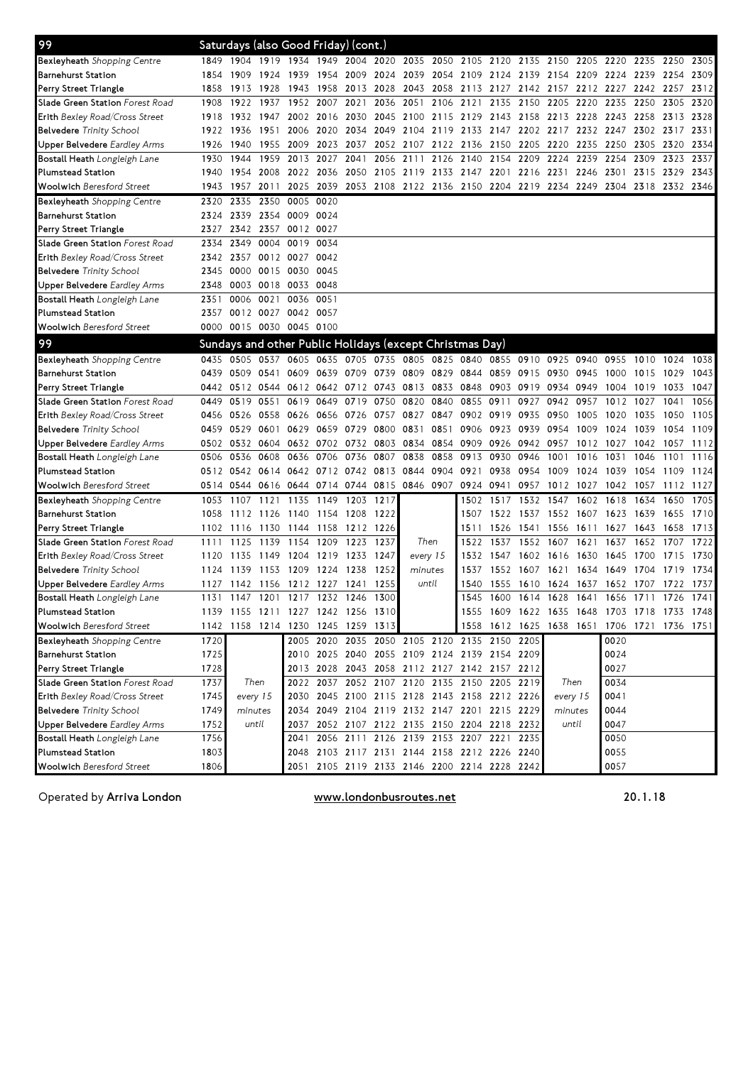| 99                                    |      |         |                | Saturdays (also Good Friday) (cont.) |           |                |                                                                  |                     |           |                     |                                    |           |                                                                                      |           |                |           |           |      |
|---------------------------------------|------|---------|----------------|--------------------------------------|-----------|----------------|------------------------------------------------------------------|---------------------|-----------|---------------------|------------------------------------|-----------|--------------------------------------------------------------------------------------|-----------|----------------|-----------|-----------|------|
| Bexleyheath Shopping Centre           |      |         |                |                                      |           |                |                                                                  |                     |           |                     |                                    |           | 1849 1904 1919 1934 1949 2004 2020 2035 2050 2105 2120 2135 2150 2205 2220 2235 2250 |           |                |           |           | 2305 |
| <b>Barnehurst Station</b>             | 1854 | -1909   | 1924           | 1939                                 |           | 1954 2009 2024 |                                                                  |                     |           |                     |                                    |           | 2039 2054 2109 2124 2139 2154 2209 2224 2239 2254                                    |           |                |           |           | 2309 |
| Perry Street Triangle                 | 1858 | 1913    | 1928           | 1943                                 |           | 1958 2013 2028 |                                                                  | 2043 2058           |           | 2113 2127           |                                    |           | 2142 2157                                                                            | 2212 2227 |                | 2242 2257 |           | 2312 |
| Slade Green Station Forest Road       | 1908 | 1922    | 1937           | 1952                                 | 2007      | 2021           | 2036                                                             | 2051                | 2106      | 2121                | 2135                               | 2150      | 2205                                                                                 | 2220      | 2235           | 2250      | 2305      | 2320 |
| <b>Erith Bexley Road/Cross Street</b> | 1918 | 1932    | 1947           | 2002                                 | 2016      | 2030           | 2045                                                             |                     |           | 2100 2115 2129 2143 |                                    | 2158 2213 |                                                                                      | 2228      |                | 2243 2258 | 2313      | 2328 |
| <b>Belvedere</b> Trinity School       | 1922 | 1936    | 1951           | 2006                                 | 2020      | 2034           | 2049                                                             | 2104                | 2119 2133 |                     | 2147                               | 2202 2217 |                                                                                      | 2232      | 2247           | 2302 2317 |           | 2331 |
| <b>Jpper Belvedere</b> Eardley Arms   | 1926 | 1940    | 1955 2009      |                                      |           | 2023 2037      |                                                                  |                     |           |                     | 2052 2107 2122 2136 2150 2205 2220 |           |                                                                                      | 2235      | 2250 2305      |           | 2320      | 2334 |
| Bostall Heath Longleigh Lane          | 1930 | 1944    |                | 1959 2013                            | 2027      | 2041           |                                                                  | 2056 2111 2126 2140 |           |                     | 2154                               | 2209      | 2224                                                                                 | 2239      | 2254           | 2309      | 2323      | 2337 |
| <b>Plumstead Station</b>              | 1940 | 1954    | 2008           | 2022                                 | 2036      |                | 2050 2105                                                        | 2119 2133 2147 2201 |           |                     |                                    |           | 2216 2231                                                                            | 2246      | 2301 2315      |           | 2329      | 2343 |
| <b>Woolwich Beresford Street</b>      | 1943 | 1957    | 2011           | 2025                                 | 2039      |                | 2053 2108 2122 2136 2150 2204 2219 2234                          |                     |           |                     |                                    |           |                                                                                      |           | 2249 2304 2318 |           | 2332 2346 |      |
| <b>Bexleyheath</b> Shopping Centre    | 2320 | 2335    |                | 2350 0005                            | 0020      |                |                                                                  |                     |           |                     |                                    |           |                                                                                      |           |                |           |           |      |
| <b>Barnehurst Station</b>             | 2324 | 2339    |                | 2354 0009                            | 0024      |                |                                                                  |                     |           |                     |                                    |           |                                                                                      |           |                |           |           |      |
| Perry Street Triangle                 | 2327 | 2342    |                | 2357 0012 0027                       |           |                |                                                                  |                     |           |                     |                                    |           |                                                                                      |           |                |           |           |      |
| Slade Green Station Forest Road       | 2334 | 2349    |                | 0004 0019                            | 0034      |                |                                                                  |                     |           |                     |                                    |           |                                                                                      |           |                |           |           |      |
| Erith Bexley Road/Cross Street        | 2342 |         |                | 2357 0012 0027 0042                  |           |                |                                                                  |                     |           |                     |                                    |           |                                                                                      |           |                |           |           |      |
| <b>Belvedere</b> Trinity School       | 2345 | 0000    | 0015 0030      |                                      | 0045      |                |                                                                  |                     |           |                     |                                    |           |                                                                                      |           |                |           |           |      |
| Upper Belvedere Eardley Arms          | 2348 |         |                | 0003 0018 0033 0048                  |           |                |                                                                  |                     |           |                     |                                    |           |                                                                                      |           |                |           |           |      |
| Bostall Heath Longleigh Lane          | 2351 | 0006    | 0021 0036      |                                      | 0051      |                |                                                                  |                     |           |                     |                                    |           |                                                                                      |           |                |           |           |      |
| <b>Plumstead Station</b>              | 2357 |         |                | 0012 0027 0042 0057                  |           |                |                                                                  |                     |           |                     |                                    |           |                                                                                      |           |                |           |           |      |
| <b>Woolwich Beresford Street</b>      |      |         |                | 0000 0015 0030 0045 0100             |           |                |                                                                  |                     |           |                     |                                    |           |                                                                                      |           |                |           |           |      |
| 99                                    |      |         |                |                                      |           |                | Sundays and other Public Holidays (except Christmas Day)         |                     |           |                     |                                    |           |                                                                                      |           |                |           |           |      |
| Bexleyheath Shopping Centre           |      |         |                |                                      |           |                | 0435 0505 0537 0605 0635 0705 0735 0805 0825 0840 0855 0910 0925 |                     |           |                     |                                    |           |                                                                                      | 0940      | 0955           | 1010      | 1024      | 1038 |
| <b>Barnehurst Station</b>             | 0439 |         | 0509 0541 0609 |                                      |           |                | 0639 0709 0739 0809 0829 0844 0859 0915 0930                     |                     |           |                     |                                    |           |                                                                                      | 0945      | 1000           | 1015      | 1029      | 1043 |
| Perry Street Triangle                 | 0442 |         |                |                                      |           |                | 0512 0544 0612 0642 0712 0743 0813 0833 0848                     |                     |           |                     | 0903 0919 0934                     |           |                                                                                      | 0949      | 1004 1019      |           | 1033      | 1047 |
| Slade Green Station Forest Road       | 0449 | 0519    | 0551           | 0619                                 |           | 0649 0719 0750 |                                                                  | 0820                | 0840      | 0855 0911           |                                    | 0927      | 0942                                                                                 | 0957      | 1012 1027      |           | 1041      | 1056 |
| <b>Erith Bexley Road/Cross Street</b> | 0456 | 0526    | 0558 0626      |                                      |           | 0656 0726      | 0757                                                             | 0827 0847           |           |                     | 0902 0919                          | 0935      | 0950                                                                                 | 1005      | 1020           | 1035      | 1050      | 1105 |
| <b>Belvedere</b> Trinity School       | 0459 | 0529    | 0601 0629      |                                      |           | 0659 0729 0800 |                                                                  | 0831                | 0851      | 0906                | 0923                               | 0939      | 0954                                                                                 | 1009      | 1024           | 1039      | 1054      | 1109 |
| Upper Belvedere <i>Eardley Arms</i>   | 0502 | 0532    |                | 0604 0632 0702 0732 0803             |           |                |                                                                  | 0834 0854           |           | 0909                | 0926                               | 0942      | 0957                                                                                 | 1012      | 1027           | 1042      | 1057      | 1112 |
| Bostall Heath Longleigh Lane          | 0506 | 0536    | 0608           | 0636                                 | 0706      | 0736           | 0807                                                             | 0838                | 0858      | 0913                | 0930                               | 0946      | 1001                                                                                 | 1016      | 1031           | 1046      | 1101      | 1116 |
| <b>Plumstead Station</b>              |      |         |                | 0512 0542 0614 0642 0712 0742 0813   |           |                |                                                                  | 0844 0904 0921      |           |                     | 0938                               | 0954      | 1009                                                                                 | 1024      | 1039           | 1054      | 1109      | 1124 |
| <b>Woolwich</b> Beresford Street      |      |         |                |                                      |           |                | 0514 0544 0616 0644 0714 0744 0815 0846 0907 0924 0941           |                     |           |                     |                                    |           | 0957 1012 1027 1042 1057 1112 1127                                                   |           |                |           |           |      |
| Bexleyheath Shopping Centre           | 1053 | 1107    |                | 1121 1135                            | 1149      | 1203 1217      |                                                                  |                     |           | 1502                | 1517                               | 1532 1547 |                                                                                      | 1602      | 1618           | 1634      | 1650      | 1705 |
| <b>Barnehurst Station</b>             | 1058 | 1112    | 1126 1140      |                                      | 1154 1208 |                | 1222                                                             |                     |           | 1507                | 1522                               |           | 1537 1552 1607                                                                       |           | 1623 1639      |           | 1655      | 1710 |
| Perry Street Triangle                 | 1102 | 1116    | 1130 1144      |                                      |           | 1158 1212 1226 |                                                                  |                     |           | 1511                | 1526                               | 1541      | 1556                                                                                 | 1611      | 1627           | 1643      | 1658      | 1713 |
| Slade Green Station Forest Road       | 1111 | 1125    | 1139           | 1154                                 | 1209      | 1223           | 1237                                                             | Then                |           | 1522                | 1537                               | 1552 1607 |                                                                                      | 1621      | 1637           | 1652      | 1707      | 1722 |
| <b>Erith Bexley Road/Cross Street</b> | 1120 | 1135    | 1149 1204      |                                      | 1219      | 1233           | 1247                                                             | every 15            |           | 1532                | 1547                               | 1602 1616 |                                                                                      | 1630      | 1645 1700      |           | 1715      | 1730 |
| <b>Belvedere</b> Trinity School       | 1124 | 1139    | 1153 1209      |                                      | 1224 1238 |                | 1252                                                             | minutes             |           | 1537                |                                    | 1552 1607 | 1621                                                                                 | 1634      | 1649           | 1704      | 1719      | 1734 |
| <b>Jpper Belvedere</b> Eardley Arms   | 1127 | 1142    |                | 1156 1212 1227 1241                  |           |                | 1255                                                             | until               |           | 1540                | 1555                               | 1610 1624 |                                                                                      | 1637      | 1652 1707      |           | 1722      | 1737 |
| Bostall Heath Longleigh Lane          | 1131 | 1147    | 1201           | 1217                                 | 1232      | 1246           | 1300                                                             |                     |           | 1545                | 1600                               | 1614      | 1628                                                                                 | 1641      | 1656           | 1711      | 1726      | 1741 |
| Plumstead Station                     |      |         |                |                                      |           |                | 1139 1155 1211 1227 1242 1256 1310                               |                     |           |                     |                                    |           | 1555 1609 1622 1635 1648 1703 1718 1733 1748                                         |           |                |           |           |      |
| <b>Woolwich Beresford Street</b>      | 1142 |         |                | 1158 1214 1230 1245 1259 1313        |           |                |                                                                  |                     |           |                     |                                    |           | 1558 1612 1625 1638 1651 1706 1721 1736 1751                                         |           |                |           |           |      |
| Bexleyheath Shopping Centre           | 1720 |         |                |                                      |           |                | 2005 2020 2035 2050 2105 2120 2135 2150 2205                     |                     |           |                     |                                    |           |                                                                                      |           | 0020           |           |           |      |
| <b>Barnehurst Station</b>             | 1725 |         |                |                                      |           |                | 2010 2025 2040 2055 2109 2124 2139 2154 2209                     |                     |           |                     |                                    |           |                                                                                      |           | 0024           |           |           |      |
| Perry Street Triangle                 | 1728 |         |                |                                      |           |                | 2013 2028 2043 2058 2112 2127 2142 2157 2212                     |                     |           |                     |                                    |           |                                                                                      |           | 0027           |           |           |      |
| Slade Green Station Forest Road       | 1737 |         | Then           |                                      |           |                | 2022 2037 2052 2107 2120 2135 2150 2205 2219                     |                     |           |                     |                                    |           | Then                                                                                 |           | 0034           |           |           |      |
| Erith Bexley Road/Cross Street        | 1745 |         | every 15       | 2030                                 |           |                | 2045 2100 2115 2128 2143 2158 2212 2226                          |                     |           |                     |                                    |           | every 15                                                                             |           | 0041           |           |           |      |
| <b>Belvedere</b> Trinity School       | 1749 | minutes |                | 2034                                 |           |                | 2049 2104 2119 2132 2147 2201 2215 2229                          |                     |           |                     |                                    |           | minutes                                                                              |           | 0044           |           |           |      |
| Upper Belvedere Eardley Arms          | 1752 |         | until          | 2037                                 |           |                | 2052 2107 2122 2135 2150 2204 2218 2232                          |                     |           |                     |                                    |           |                                                                                      | until     | 0047           |           |           |      |
| Bostall Heath Longleigh Lane          | 1756 |         |                | 2041                                 |           |                | 2056 2111 2126 2139 2153 2207 2221 2235                          |                     |           |                     |                                    |           |                                                                                      |           | 0050           |           |           |      |
| <b>Plumstead Station</b>              | 1803 |         |                |                                      |           |                | 2048 2103 2117 2131 2144 2158 2212 2226 2240                     |                     |           |                     |                                    |           |                                                                                      |           | 0055           |           |           |      |
| <b>Woolwich Beresford Street</b>      | 1806 |         |                |                                      |           |                | 2051 2105 2119 2133 2146 2200 2214 2228 2242                     |                     |           |                     |                                    |           |                                                                                      |           | 0057           |           |           |      |

Operated by Arriva London **WWW.londonbusroutes.net** 20.1.18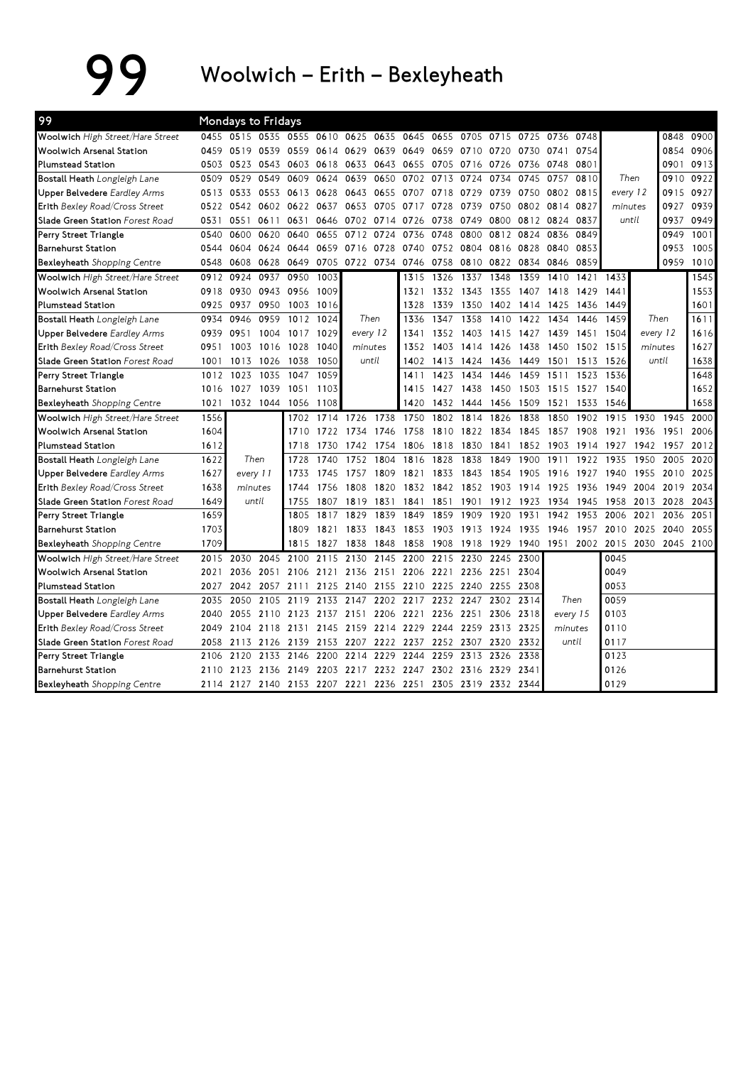## 99 Woolwich – Erith – Bexleyheath

| 99                                  |      | Mondays to Fridays                                          |      |      |      |           |          |                          |           |           |           |      |           |      |          |          |                |      |
|-------------------------------------|------|-------------------------------------------------------------|------|------|------|-----------|----------|--------------------------|-----------|-----------|-----------|------|-----------|------|----------|----------|----------------|------|
| Woolwich High Street/Hare Street    |      | 0455 0515 0535 0555 0610 0625 0635                          |      |      |      |           |          | 0645 0655                |           | 0705      | 0715 0725 |      | 0736 0748 |      |          |          | 0848           | 0900 |
| <b>Woolwich Arsenal Station</b>     | 0459 | 0519                                                        | 0539 | 0559 | 0614 | 0629      | 0639     | 0649                     | 0659      | 0710      | 0720      | 0730 | 0741      | 0754 |          |          | 0854           | 0906 |
| <b>Plumstead Station</b>            | 0503 | 0523                                                        | 0543 | 0603 | 0618 | 0633      | 0643     | 0655                     | 0705      | 0716      | 0726      | 0736 | 0748      | 0801 |          |          | 0901           | 0913 |
| Bostall Heath Longleigh Lane        | 0509 | 0529                                                        | 0549 | 0609 | 0624 | 0639      | 0650     | 0702                     | 0713      | 0724      | 0734      | 0745 | 0757      | 0810 | Then     |          | 0910           | 0922 |
| <b>Upper Belvedere</b> Eardley Arms | 0513 | 0533                                                        | 0553 | 0613 | 0628 | 0643      | 0655     | 0707                     | 0718      | 0729      | 0739      | 0750 | 0802 0815 |      | every 12 |          | 0915           | 0927 |
| Erith Bexley Road/Cross Street      | 0522 | 0542                                                        | 0602 | 0622 | 0637 | 0653      | 0705     | 0717 0728                |           | 0739      | 0750      | 0802 | 0814      | 0827 | minutes  |          | 0927           | 0939 |
| Slade Green Station Forest Road     | 0531 | 0551                                                        | 0611 | 0631 | 0646 | 0702      | 0714     | 0726                     | 0738      | 0749      | 0800      | 0812 | 0824      | 0837 | until    |          | 0937           | 0949 |
| Perry Street Triangle               | 0540 | 0600                                                        | 0620 | 0640 | 0655 | 0712      | 0724     | 0736                     | 0748      | 0800      | 0812      | 0824 | 0836      | 0849 |          |          | 0949           | 1001 |
| <b>Barnehurst Station</b>           | 0544 | 0604                                                        | 0624 | 0644 | 0659 | 0716      | 0728     | 0740                     | 0752      | 0804      | 0816      | 0828 | 0840      | 0853 |          |          | 0953           | 1005 |
| Bexleyheath Shopping Centre         | 0548 | 0608                                                        | 0628 | 0649 |      |           |          | 0705 0722 0734 0746 0758 |           |           | 0810 0822 | 0834 | 0846      | 0859 |          |          | 0959           | 1010 |
| Woolwich High Street/Hare Street    | 0912 | 0924                                                        | 0937 | 0950 | 1003 |           |          | 1315                     | 1326      | 1337      | 1348      | 1359 | 1410      | 1421 | 1433     |          |                | 1545 |
| <b>Woolwich Arsenal Station</b>     | 0918 | 0930                                                        | 0943 | 0956 | 1009 |           |          | 1321                     | 1332      | 1343      | 1355      | 1407 | 1418      | 1429 | 1441     |          |                | 1553 |
| <b>Plumstead Station</b>            | 0925 | 0937                                                        | 0950 | 1003 | 1016 |           |          | 1328                     | 1339      | 1350      | 1402      | 1414 | 1425      | 1436 | 1449     |          |                | 1601 |
| Bostall Heath Longleigh Lane        | 0934 | 0946                                                        | 0959 | 1012 | 1024 |           | Then     | 1336                     | 1347      | 1358      | 1410      | 1422 | 1434      | 1446 | 1459     | Then     |                | 1611 |
| <b>Upper Belvedere</b> Eardley Arms | 0939 | 0951                                                        | 1004 | 1017 | 1029 |           | every 12 | 1341                     | 1352      | 1403      | 1415 1427 |      | 1439      | 1451 | 1504     | every 12 |                | 1616 |
| Erith Bexley Road/Cross Street      | 0951 | 1003                                                        | 1016 | 1028 | 1040 | minutes   |          | 1352                     | 1403      | 1414 1426 |           | 1438 | 1450      | 1502 | 1515     | minutes  |                | 1627 |
| Slade Green Station Forest Road     | 1001 | 1013                                                        | 1026 | 1038 | 1050 |           | until    |                          | 1402 1413 | 1424      | 1436      | 1449 | 1501      | 1513 | 1526     | until    |                | 1638 |
| Perry Street Triangle               | 1012 | 1023                                                        | 1035 | 1047 | 1059 |           |          | 1411                     | 1423      | 1434      | 1446      | 1459 | 1511      | 1523 | 1536     |          |                | 1648 |
| <b>Barnehurst Station</b>           | 1016 | 1027                                                        | 1039 | 1051 | 1103 |           |          | 1415                     | 1427      | 1438      | 1450      | 1503 | 1515      | 1527 | 1540     |          |                | 1652 |
| Bexleyheath Shopping Centre         | 1021 | 1032 1044                                                   |      | 1056 | 1108 |           |          | 1420                     | 1432      | 1444      | 1456 1509 |      | 1521      | 1533 | 1546     |          |                | 1658 |
| Woolwich High Street/Hare Street    | 1556 |                                                             |      | 1702 | 1714 | 1726      | 1738     | 1750                     | 1802      | 1814      | 1826      | 1838 | 1850      | 1902 | 1915     | 1930     | 1945           | 2000 |
| <b>Woolwich Arsenal Station</b>     | 1604 |                                                             |      | 1710 | 1722 | 1734      | 1746     | 1758                     | 1810      | 1822      | 1834      | 1845 | 1857      | 1908 | 1921     | 1936     | 1951           | 2006 |
| <b>Plumstead Station</b>            | 1612 |                                                             |      | 1718 | 1730 | 1742      | 1754     | 1806                     | 1818      | 1830      | 1841      | 1852 | 1903      | 1914 | 1927     | 1942     | 1957           | 2012 |
| Bostall Heath Longleigh Lane        | 1622 | Then                                                        |      | 1728 | 1740 | 1752      | 1804     | 1816                     | 1828      | 1838      | 1849      | 1900 | 1911      | 1922 | 1935     | 1950     | 2005           | 2020 |
| <b>Upper Belvedere</b> Eardley Arms | 1627 | every 11                                                    |      | 1733 | 1745 | 1757      | 1809     | 1821                     | 1833      | 1843      | 1854      | 1905 | 1916      | 1927 | 1940     | 1955     | 2010           | 2025 |
| Erith Bexley Road/Cross Street      | 1638 | minutes                                                     |      | 1744 | 1756 | 1808      | 1820     | 1832 1842                |           |           | 1852 1903 | 1914 | 1925      | 1936 | 1949     | 2004     | 2019           | 2034 |
| Slade Green Station Forest Road     | 1649 | until                                                       |      | 1755 | 1807 | 1819      | 1831     | 1841                     | 1851      | 1901      | 1912      | 1923 | 1934      | 1945 | 1958     | 2013     | 2028           | 2043 |
| Perry Street Triangle               | 1659 |                                                             |      | 1805 | 1817 | 1829      | 1839     | 1849                     | 1859      | 1909      | 1920      | 1931 | 1942      | 1953 | 2006     | 2021     | 2036           | 2051 |
| <b>Barnehurst Station</b>           | 1703 |                                                             |      | 1809 | 1821 | 1833      | 1843     | 1853                     | 1903      | 1913      | 1924      | 1935 | 1946      | 1957 | 2010     | 2025     | 2040           | 2055 |
| <b>Bexleyheath</b> Shopping Centre  | 1709 |                                                             |      | 1815 | 1827 | 1838      | 1848     | 1858                     | 1908      | 1918      | 1929      | 1940 | 1951      | 2002 | 2015     |          | 2030 2045 2100 |      |
| Woolwich High Street/Hare Street    | 2015 | 2030                                                        | 2045 | 2100 | 2115 | 2130      | 2145     | 2200                     | 2215      | 2230      | 2245      | 2300 |           |      | 0045     |          |                |      |
| <b>Woolwich Arsenal Station</b>     | 2021 | 2036                                                        | 2051 | 2106 | 2121 | 2136      | 2151     | 2206                     | 2221      | 2236 2251 |           | 2304 |           |      | 0049     |          |                |      |
| <b>Plumstead Station</b>            | 2027 | 2042                                                        | 2057 | 2111 | 2125 | 2140      | 2155     | 2210                     | 2225      | 2240      | 2255      | 2308 |           |      | 0053     |          |                |      |
| Bostall Heath Longleigh Lane        | 2035 | 2050                                                        | 2105 | 2119 | 2133 | 2147      | 2202     | 2217                     | 2232      | 2247      | 2302      | 2314 | Then      |      | 0059     |          |                |      |
| <b>Upper Belvedere</b> Eardley Arms | 2040 | 2055                                                        | 2110 | 2123 |      | 2137 2151 | 2206     | 2221 2236                |           | 2251      | 2306 2318 |      | every 15  |      | 0103     |          |                |      |
| Erith Bexley Road/Cross Street      | 2049 | 2104                                                        | 2118 | 2131 | 2145 | 2159      | 2214     | 2229                     | 2244      |           | 2259 2313 | 2325 | minutes   |      | 0110     |          |                |      |
| Slade Green Station Forest Road     | 2058 | 2113                                                        | 2126 | 2139 |      | 2153 2207 | 2222     | 2237                     | 2252      | 2307      | 2320      | 2332 | until     |      | 0117     |          |                |      |
| Perry Street Triangle               | 2106 | 2120                                                        | 2133 | 2146 | 2200 | 2214      | 2229     | 2244                     | 2259      | 2313      | 2326      | 2338 |           |      | 0123     |          |                |      |
| <b>Barnehurst Station</b>           | 2110 | 2123                                                        | 2136 | 2149 |      | 2203 2217 | 2232     | 2247                     | 2302      | 2316 2329 |           | 2341 |           |      | 0126     |          |                |      |
| <b>Bexleyheath</b> Shopping Centre  |      | 2114 2127 2140 2153 2207 2221 2236 2251 2305 2319 2332 2344 |      |      |      |           |          |                          |           |           |           |      |           |      | 0129     |          |                |      |